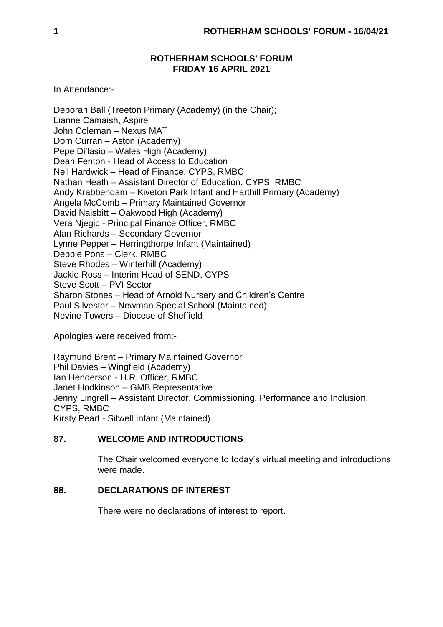## **ROTHERHAM SCHOOLS' FORUM FRIDAY 16 APRIL 2021**

In Attendance:-

Deborah Ball (Treeton Primary (Academy) (in the Chair); Lianne Camaish, Aspire John Coleman – Nexus MAT Dom Curran – Aston (Academy) Pepe Di'lasio – Wales High (Academy) Dean Fenton - Head of Access to Education Neil Hardwick – Head of Finance, CYPS, RMBC Nathan Heath – Assistant Director of Education, CYPS, RMBC Andy Krabbendam – Kiveton Park Infant and Harthill Primary (Academy) Angela McComb – Primary Maintained Governor David Naisbitt – Oakwood High (Academy) Vera Njegic - Principal Finance Officer, RMBC Alan Richards – Secondary Governor Lynne Pepper – Herringthorpe Infant (Maintained) Debbie Pons – Clerk, RMBC Steve Rhodes – Winterhill (Academy) Jackie Ross – Interim Head of SEND, CYPS Steve Scott – PVI Sector Sharon Stones – Head of Arnold Nursery and Children's Centre Paul Silvester – Newman Special School (Maintained) Nevine Towers – Diocese of Sheffield

Apologies were received from:-

Raymund Brent – Primary Maintained Governor Phil Davies – Wingfield (Academy) Ian Henderson - H.R. Officer, RMBC Janet Hodkinson – GMB Representative Jenny Lingrell – Assistant Director, Commissioning, Performance and Inclusion, CYPS, RMBC Kirsty Peart - Sitwell Infant (Maintained)

## **87. WELCOME AND INTRODUCTIONS**

The Chair welcomed everyone to today's virtual meeting and introductions were made.

## **88. DECLARATIONS OF INTEREST**

There were no declarations of interest to report.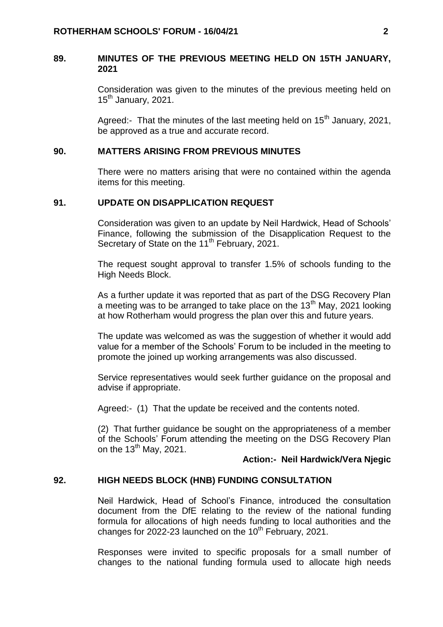### **89. MINUTES OF THE PREVIOUS MEETING HELD ON 15TH JANUARY, 2021**

Consideration was given to the minutes of the previous meeting held on  $15<sup>th</sup>$  January, 2021.

Agreed:- That the minutes of the last meeting held on  $15<sup>th</sup>$  January, 2021, be approved as a true and accurate record.

#### **90. MATTERS ARISING FROM PREVIOUS MINUTES**

There were no matters arising that were no contained within the agenda items for this meeting.

#### **91. UPDATE ON DISAPPLICATION REQUEST**

Consideration was given to an update by Neil Hardwick, Head of Schools' Finance, following the submission of the Disapplication Request to the Secretary of State on the 11<sup>th</sup> February, 2021.

The request sought approval to transfer 1.5% of schools funding to the High Needs Block.

As a further update it was reported that as part of the DSG Recovery Plan a meeting was to be arranged to take place on the  $13<sup>th</sup>$  May, 2021 looking at how Rotherham would progress the plan over this and future years.

The update was welcomed as was the suggestion of whether it would add value for a member of the Schools' Forum to be included in the meeting to promote the joined up working arrangements was also discussed.

Service representatives would seek further guidance on the proposal and advise if appropriate.

Agreed:- (1) That the update be received and the contents noted.

(2) That further guidance be sought on the appropriateness of a member of the Schools' Forum attending the meeting on the DSG Recovery Plan on the  $13<sup>th</sup>$  May, 2021.

#### **Action:- Neil Hardwick/Vera Njegic**

#### **92. HIGH NEEDS BLOCK (HNB) FUNDING CONSULTATION**

Neil Hardwick, Head of School's Finance, introduced the consultation document from the DfE relating to the review of the national funding formula for allocations of high needs funding to local authorities and the changes for 2022-23 launched on the  $10<sup>th</sup>$  February, 2021.

Responses were invited to specific proposals for a small number of changes to the national funding formula used to allocate high needs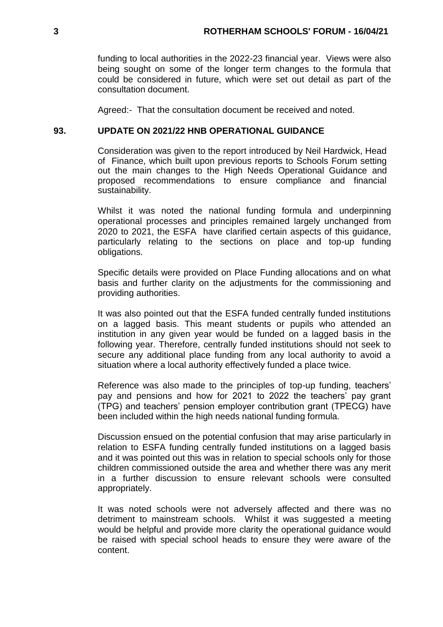funding to local authorities in the 2022-23 financial year. Views were also being sought on some of the longer term changes to the formula that could be considered in future, which were set out detail as part of the consultation document.

Agreed:- That the consultation document be received and noted.

### **93. UPDATE ON 2021/22 HNB OPERATIONAL GUIDANCE**

Consideration was given to the report introduced by Neil Hardwick, Head of Finance, which built upon previous reports to Schools Forum setting out the main changes to the High Needs Operational Guidance and proposed recommendations to ensure compliance and financial sustainability.

Whilst it was noted the national funding formula and underpinning operational processes and principles remained largely unchanged from 2020 to 2021, the ESFA have clarified certain aspects of this guidance, particularly relating to the sections on place and top-up funding obligations.

Specific details were provided on Place Funding allocations and on what basis and further clarity on the adjustments for the commissioning and providing authorities.

It was also pointed out that the ESFA funded centrally funded institutions on a lagged basis. This meant students or pupils who attended an institution in any given year would be funded on a lagged basis in the following year. Therefore, centrally funded institutions should not seek to secure any additional place funding from any local authority to avoid a situation where a local authority effectively funded a place twice.

Reference was also made to the principles of top-up funding, teachers' pay and pensions and how for 2021 to 2022 the teachers' pay grant (TPG) and teachers' pension employer contribution grant (TPECG) have been included within the high needs national funding formula.

Discussion ensued on the potential confusion that may arise particularly in relation to ESFA funding centrally funded institutions on a lagged basis and it was pointed out this was in relation to special schools only for those children commissioned outside the area and whether there was any merit in a further discussion to ensure relevant schools were consulted appropriately.

It was noted schools were not adversely affected and there was no detriment to mainstream schools. Whilst it was suggested a meeting would be helpful and provide more clarity the operational guidance would be raised with special school heads to ensure they were aware of the content.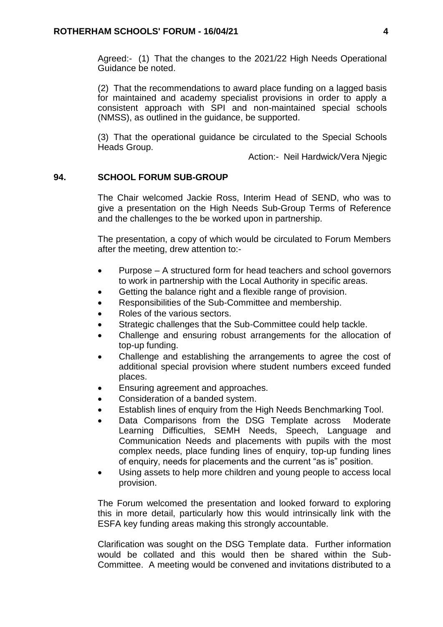Agreed:- (1) That the changes to the 2021/22 High Needs Operational Guidance be noted.

(2) That the recommendations to award place funding on a lagged basis for maintained and academy specialist provisions in order to apply a consistent approach with SPI and non-maintained special schools (NMSS), as outlined in the guidance, be supported.

(3) That the operational guidance be circulated to the Special Schools Heads Group.

Action:- Neil Hardwick/Vera Njegic

### **94. SCHOOL FORUM SUB-GROUP**

The Chair welcomed Jackie Ross, Interim Head of SEND, who was to give a presentation on the High Needs Sub-Group Terms of Reference and the challenges to the be worked upon in partnership.

The presentation, a copy of which would be circulated to Forum Members after the meeting, drew attention to:-

- Purpose A structured form for head teachers and school governors to work in partnership with the Local Authority in specific areas.
- Getting the balance right and a flexible range of provision.
- Responsibilities of the Sub-Committee and membership.
- Roles of the various sectors.
- Strategic challenges that the Sub-Committee could help tackle.
- Challenge and ensuring robust arrangements for the allocation of top-up funding.
- Challenge and establishing the arrangements to agree the cost of additional special provision where student numbers exceed funded places.
- Ensuring agreement and approaches.
- Consideration of a banded system.
- Establish lines of enquiry from the High Needs Benchmarking Tool.
- Data Comparisons from the DSG Template across Moderate Learning Difficulties, SEMH Needs, Speech, Language and Communication Needs and placements with pupils with the most complex needs, place funding lines of enquiry, top-up funding lines of enquiry, needs for placements and the current "as is" position.
- Using assets to help more children and young people to access local provision.

The Forum welcomed the presentation and looked forward to exploring this in more detail, particularly how this would intrinsically link with the ESFA key funding areas making this strongly accountable.

Clarification was sought on the DSG Template data. Further information would be collated and this would then be shared within the Sub-Committee. A meeting would be convened and invitations distributed to a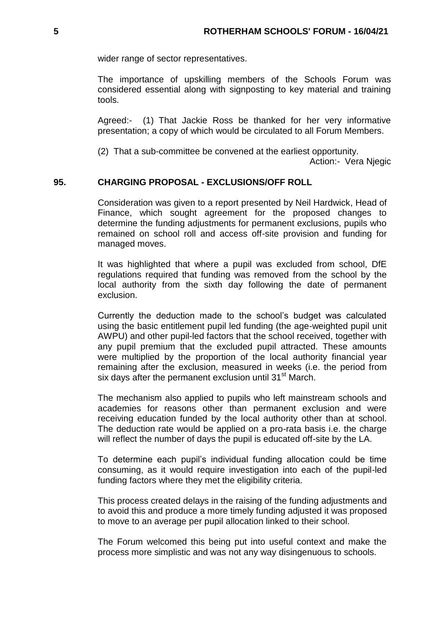wider range of sector representatives.

The importance of upskilling members of the Schools Forum was considered essential along with signposting to key material and training tools.

Agreed:- (1) That Jackie Ross be thanked for her very informative presentation; a copy of which would be circulated to all Forum Members.

(2) That a sub-committee be convened at the earliest opportunity.

Action:- Vera Njegic

### **95. CHARGING PROPOSAL - EXCLUSIONS/OFF ROLL**

Consideration was given to a report presented by Neil Hardwick, Head of Finance, which sought agreement for the proposed changes to determine the funding adjustments for permanent exclusions, pupils who remained on school roll and access off-site provision and funding for managed moves.

It was highlighted that where a pupil was excluded from school, DfE regulations required that funding was removed from the school by the local authority from the sixth day following the date of permanent exclusion.

Currently the deduction made to the school's budget was calculated using the basic entitlement pupil led funding (the age-weighted pupil unit AWPU) and other pupil-led factors that the school received, together with any pupil premium that the excluded pupil attracted. These amounts were multiplied by the proportion of the local authority financial year remaining after the exclusion, measured in weeks (i.e. the period from six days after the permanent exclusion until 31<sup>st</sup> March.

The mechanism also applied to pupils who left mainstream schools and academies for reasons other than permanent exclusion and were receiving education funded by the local authority other than at school. The deduction rate would be applied on a pro-rata basis i.e. the charge will reflect the number of days the pupil is educated off-site by the LA.

To determine each pupil's individual funding allocation could be time consuming, as it would require investigation into each of the pupil-led funding factors where they met the eligibility criteria.

This process created delays in the raising of the funding adjustments and to avoid this and produce a more timely funding adjusted it was proposed to move to an average per pupil allocation linked to their school.

The Forum welcomed this being put into useful context and make the process more simplistic and was not any way disingenuous to schools.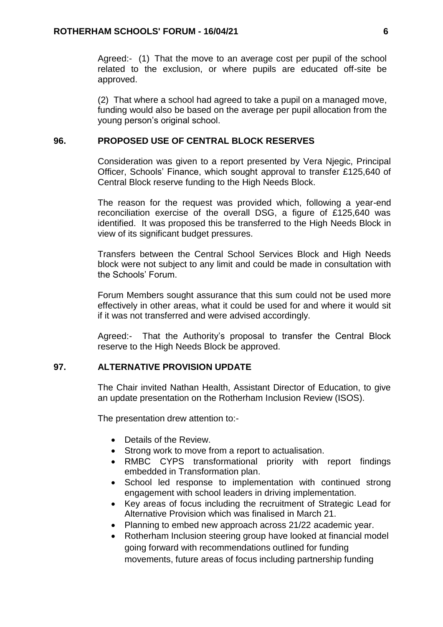Agreed:- (1) That the move to an average cost per pupil of the school related to the exclusion, or where pupils are educated off-site be approved.

(2) That where a school had agreed to take a pupil on a managed move, funding would also be based on the average per pupil allocation from the young person's original school.

### **96. PROPOSED USE OF CENTRAL BLOCK RESERVES**

Consideration was given to a report presented by Vera Njegic, Principal Officer, Schools' Finance, which sought approval to transfer £125,640 of Central Block reserve funding to the High Needs Block.

The reason for the request was provided which, following a year-end reconciliation exercise of the overall DSG, a figure of £125,640 was identified. It was proposed this be transferred to the High Needs Block in view of its significant budget pressures.

Transfers between the Central School Services Block and High Needs block were not subject to any limit and could be made in consultation with the Schools' Forum.

Forum Members sought assurance that this sum could not be used more effectively in other areas, what it could be used for and where it would sit if it was not transferred and were advised accordingly.

Agreed:- That the Authority's proposal to transfer the Central Block reserve to the High Needs Block be approved.

### **97. ALTERNATIVE PROVISION UPDATE**

The Chair invited Nathan Health, Assistant Director of Education, to give an update presentation on the Rotherham Inclusion Review (ISOS).

The presentation drew attention to:-

- Details of the Review.
- Strong work to move from a report to actualisation.
- RMBC CYPS transformational priority with report findings embedded in Transformation plan.
- School led response to implementation with continued strong engagement with school leaders in driving implementation.
- Key areas of focus including the recruitment of Strategic Lead for Alternative Provision which was finalised in March 21.
- Planning to embed new approach across 21/22 academic year.
- Rotherham Inclusion steering group have looked at financial model going forward with recommendations outlined for funding movements, future areas of focus including partnership funding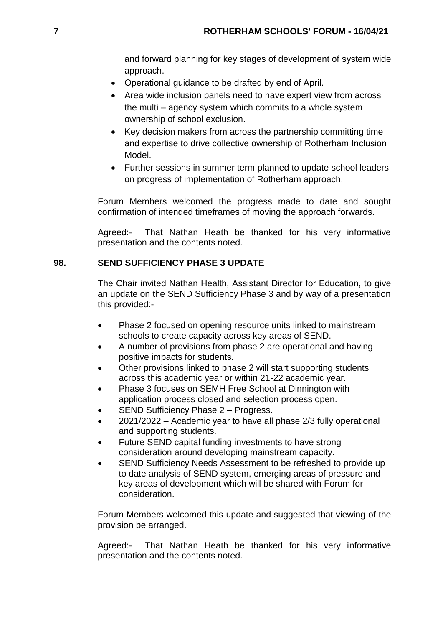and forward planning for key stages of development of system wide approach.

- Operational guidance to be drafted by end of April.
- Area wide inclusion panels need to have expert view from across the multi – agency system which commits to a whole system ownership of school exclusion.
- Key decision makers from across the partnership committing time and expertise to drive collective ownership of Rotherham Inclusion Model.
- Further sessions in summer term planned to update school leaders on progress of implementation of Rotherham approach.

Forum Members welcomed the progress made to date and sought confirmation of intended timeframes of moving the approach forwards.

Agreed:- That Nathan Heath be thanked for his very informative presentation and the contents noted.

# **98. SEND SUFFICIENCY PHASE 3 UPDATE**

The Chair invited Nathan Health, Assistant Director for Education, to give an update on the SEND Sufficiency Phase 3 and by way of a presentation this provided:-

- Phase 2 focused on opening resource units linked to mainstream schools to create capacity across key areas of SEND.
- A number of provisions from phase 2 are operational and having positive impacts for students.
- Other provisions linked to phase 2 will start supporting students across this academic year or within 21-22 academic year.
- Phase 3 focuses on SEMH Free School at Dinnington with application process closed and selection process open.
- SEND Sufficiency Phase 2 Progress.
- 2021/2022 Academic year to have all phase 2/3 fully operational and supporting students.
- Future SEND capital funding investments to have strong consideration around developing mainstream capacity.
- SEND Sufficiency Needs Assessment to be refreshed to provide up to date analysis of SEND system, emerging areas of pressure and key areas of development which will be shared with Forum for consideration.

Forum Members welcomed this update and suggested that viewing of the provision be arranged.

Agreed:- That Nathan Heath be thanked for his very informative presentation and the contents noted.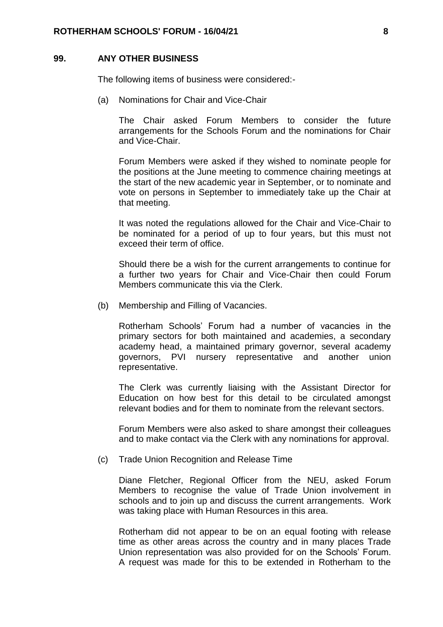#### **99. ANY OTHER BUSINESS**

The following items of business were considered:-

(a) Nominations for Chair and Vice-Chair

The Chair asked Forum Members to consider the future arrangements for the Schools Forum and the nominations for Chair and Vice-Chair.

Forum Members were asked if they wished to nominate people for the positions at the June meeting to commence chairing meetings at the start of the new academic year in September, or to nominate and vote on persons in September to immediately take up the Chair at that meeting.

It was noted the regulations allowed for the Chair and Vice-Chair to be nominated for a period of up to four years, but this must not exceed their term of office.

Should there be a wish for the current arrangements to continue for a further two years for Chair and Vice-Chair then could Forum Members communicate this via the Clerk.

(b) Membership and Filling of Vacancies.

Rotherham Schools' Forum had a number of vacancies in the primary sectors for both maintained and academies, a secondary academy head, a maintained primary governor, several academy governors, PVI nursery representative and another union representative.

The Clerk was currently liaising with the Assistant Director for Education on how best for this detail to be circulated amongst relevant bodies and for them to nominate from the relevant sectors.

Forum Members were also asked to share amongst their colleagues and to make contact via the Clerk with any nominations for approval.

(c) Trade Union Recognition and Release Time

Diane Fletcher, Regional Officer from the NEU, asked Forum Members to recognise the value of Trade Union involvement in schools and to join up and discuss the current arrangements. Work was taking place with Human Resources in this area.

Rotherham did not appear to be on an equal footing with release time as other areas across the country and in many places Trade Union representation was also provided for on the Schools' Forum. A request was made for this to be extended in Rotherham to the